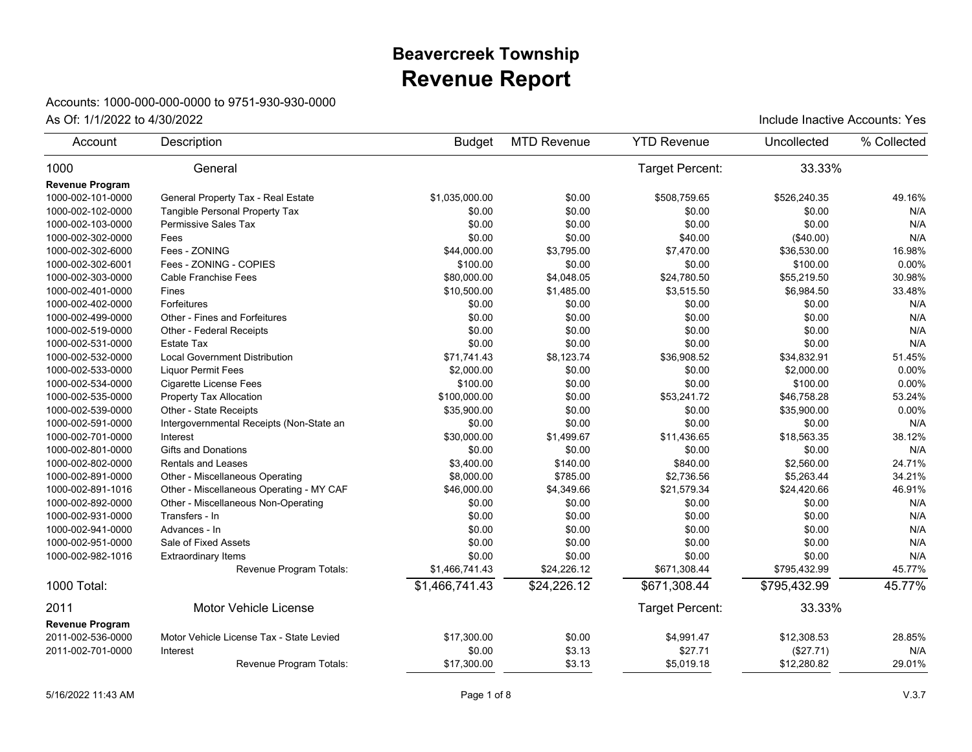## **Revenue Report Beavercreek Township**

## Accounts: 1000-000-000-0000 to 9751-930-930-0000

| Account                | Description                              | <b>Budget</b>  | <b>MTD Revenue</b> | <b>YTD Revenue</b> | Uncollected  | % Collected |
|------------------------|------------------------------------------|----------------|--------------------|--------------------|--------------|-------------|
| 1000                   | General                                  |                |                    | Target Percent:    | 33.33%       |             |
| <b>Revenue Program</b> |                                          |                |                    |                    |              |             |
| 1000-002-101-0000      | General Property Tax - Real Estate       | \$1,035,000.00 | \$0.00             | \$508,759.65       | \$526,240.35 | 49.16%      |
| 1000-002-102-0000      | Tangible Personal Property Tax           | \$0.00         | \$0.00             | \$0.00             | \$0.00       | N/A         |
| 1000-002-103-0000      | Permissive Sales Tax                     | \$0.00         | \$0.00             | \$0.00             | \$0.00       | N/A         |
| 1000-002-302-0000      | Fees                                     | \$0.00         | \$0.00             | \$40.00            | (\$40.00)    | N/A         |
| 1000-002-302-6000      | Fees - ZONING                            | \$44,000.00    | \$3,795.00         | \$7,470.00         | \$36,530.00  | 16.98%      |
| 1000-002-302-6001      | Fees - ZONING - COPIES                   | \$100.00       | \$0.00             | \$0.00             | \$100.00     | 0.00%       |
| 1000-002-303-0000      | <b>Cable Franchise Fees</b>              | \$80,000.00    | \$4,048.05         | \$24,780.50        | \$55,219.50  | 30.98%      |
| 1000-002-401-0000      | Fines                                    | \$10,500.00    | \$1,485.00         | \$3,515.50         | \$6,984.50   | 33.48%      |
| 1000-002-402-0000      | Forfeitures                              | \$0.00         | \$0.00             | \$0.00             | \$0.00       | N/A         |
| 1000-002-499-0000      | Other - Fines and Forfeitures            | \$0.00         | \$0.00             | \$0.00             | \$0.00       | N/A         |
| 1000-002-519-0000      | Other - Federal Receipts                 | \$0.00         | \$0.00             | \$0.00             | \$0.00       | N/A         |
| 1000-002-531-0000      | Estate Tax                               | \$0.00         | \$0.00             | \$0.00             | \$0.00       | N/A         |
| 1000-002-532-0000      | <b>Local Government Distribution</b>     | \$71,741.43    | \$8,123.74         | \$36,908.52        | \$34,832.91  | 51.45%      |
| 1000-002-533-0000      | <b>Liquor Permit Fees</b>                | \$2,000.00     | \$0.00             | \$0.00             | \$2,000.00   | 0.00%       |
| 1000-002-534-0000      | Cigarette License Fees                   | \$100.00       | \$0.00             | \$0.00             | \$100.00     | 0.00%       |
| 1000-002-535-0000      | Property Tax Allocation                  | \$100,000.00   | \$0.00             | \$53,241.72        | \$46,758.28  | 53.24%      |
| 1000-002-539-0000      | Other - State Receipts                   | \$35,900.00    | \$0.00             | \$0.00             | \$35,900.00  | 0.00%       |
| 1000-002-591-0000      | Intergovernmental Receipts (Non-State an | \$0.00         | \$0.00             | \$0.00             | \$0.00       | N/A         |
| 1000-002-701-0000      | Interest                                 | \$30,000.00    | \$1,499.67         | \$11,436.65        | \$18,563.35  | 38.12%      |
| 1000-002-801-0000      | <b>Gifts and Donations</b>               | \$0.00         | \$0.00             | \$0.00             | \$0.00       | N/A         |
| 1000-002-802-0000      | <b>Rentals and Leases</b>                | \$3,400.00     | \$140.00           | \$840.00           | \$2,560.00   | 24.71%      |
| 1000-002-891-0000      | Other - Miscellaneous Operating          | \$8,000.00     | \$785.00           | \$2,736.56         | \$5,263.44   | 34.21%      |
| 1000-002-891-1016      | Other - Miscellaneous Operating - MY CAF | \$46,000.00    | \$4,349.66         | \$21,579.34        | \$24,420.66  | 46.91%      |
| 1000-002-892-0000      | Other - Miscellaneous Non-Operating      | \$0.00         | \$0.00             | \$0.00             | \$0.00       | N/A         |
| 1000-002-931-0000      | Transfers - In                           | \$0.00         | \$0.00             | \$0.00             | \$0.00       | N/A         |
| 1000-002-941-0000      | Advances - In                            | \$0.00         | \$0.00             | \$0.00             | \$0.00       | N/A         |
| 1000-002-951-0000      | Sale of Fixed Assets                     | \$0.00         | \$0.00             | \$0.00             | \$0.00       | N/A         |
| 1000-002-982-1016      | <b>Extraordinary Items</b>               | \$0.00         | \$0.00             | \$0.00             | \$0.00       | N/A         |
|                        | Revenue Program Totals:                  | \$1,466,741.43 | \$24,226.12        | \$671,308.44       | \$795,432.99 | 45.77%      |
| 1000 Total:            |                                          | \$1,466,741.43 | \$24,226.12        | \$671,308.44       | \$795,432.99 | 45.77%      |
| 2011                   | <b>Motor Vehicle License</b>             |                |                    | Target Percent:    | 33.33%       |             |
| <b>Revenue Program</b> |                                          |                |                    |                    |              |             |
| 2011-002-536-0000      | Motor Vehicle License Tax - State Levied | \$17,300.00    | \$0.00             | \$4,991.47         | \$12,308.53  | 28.85%      |
| 2011-002-701-0000      | Interest                                 | \$0.00         | \$3.13             | \$27.71            | (\$27.71)    | N/A         |
|                        | Revenue Program Totals:                  | \$17,300.00    | \$3.13             | \$5,019.18         | \$12,280.82  | 29.01%      |
|                        |                                          |                |                    |                    |              |             |

As Of:  $1/1/2022$  to  $4/30/2022$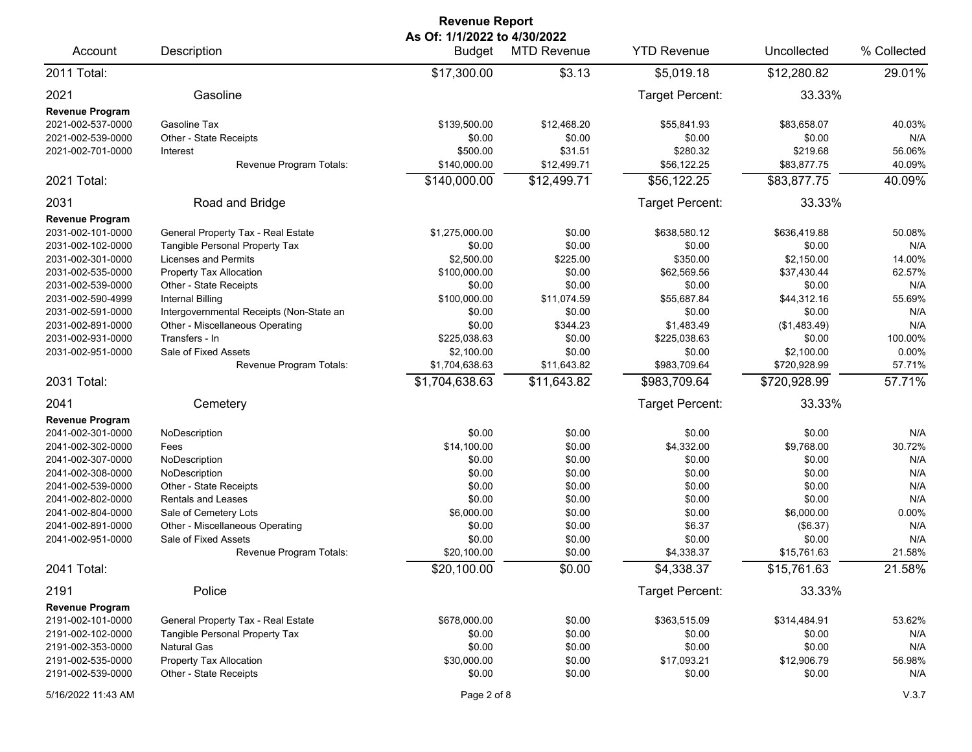| As Of: 1/1/2022 to 4/30/2022<br>Description<br>Account<br><b>Budget</b><br><b>MTD Revenue</b><br>2011 Total:<br>\$3.13<br>\$17,300.00<br>2021<br>Gasoline<br><b>Revenue Program</b><br>2021-002-537-0000<br>\$139,500.00<br>Gasoline Tax<br>\$12,468.20<br>2021-002-539-0000<br>Other - State Receipts<br>\$0.00<br>\$0.00<br>2021-002-701-0000<br>\$500.00<br>\$31.51<br>Interest<br>Revenue Program Totals:<br>\$140,000.00<br>\$12,499.71<br>\$12,499.71<br>2021 Total:<br>\$140,000.00                                                                                                                                                                                                                                                                                                                                                                                                                | <b>YTD Revenue</b><br>\$5,019.18<br>Target Percent:<br>\$55,841.93<br>\$0.00<br>\$280.32<br>\$56,122.25<br>\$56,122.25<br>Target Percent:<br>\$638,580.12<br>\$0.00<br>\$350.00<br>\$62,569.56<br>\$0.00 | Uncollected<br>\$12,280.82<br>33.33%<br>\$83,658.07<br>\$0.00<br>\$219.68<br>\$83,877.75<br>\$83,877.75<br>33.33%<br>\$636,419.88<br>\$0.00<br>\$2,150.00<br>\$37,430.44 | % Collected<br>29.01%<br>40.03%<br>N/A<br>56.06%<br>40.09%<br>40.09%<br>50.08%<br>N/A<br>14.00% |
|-----------------------------------------------------------------------------------------------------------------------------------------------------------------------------------------------------------------------------------------------------------------------------------------------------------------------------------------------------------------------------------------------------------------------------------------------------------------------------------------------------------------------------------------------------------------------------------------------------------------------------------------------------------------------------------------------------------------------------------------------------------------------------------------------------------------------------------------------------------------------------------------------------------|----------------------------------------------------------------------------------------------------------------------------------------------------------------------------------------------------------|--------------------------------------------------------------------------------------------------------------------------------------------------------------------------|-------------------------------------------------------------------------------------------------|
|                                                                                                                                                                                                                                                                                                                                                                                                                                                                                                                                                                                                                                                                                                                                                                                                                                                                                                           |                                                                                                                                                                                                          |                                                                                                                                                                          |                                                                                                 |
|                                                                                                                                                                                                                                                                                                                                                                                                                                                                                                                                                                                                                                                                                                                                                                                                                                                                                                           |                                                                                                                                                                                                          |                                                                                                                                                                          |                                                                                                 |
|                                                                                                                                                                                                                                                                                                                                                                                                                                                                                                                                                                                                                                                                                                                                                                                                                                                                                                           |                                                                                                                                                                                                          |                                                                                                                                                                          |                                                                                                 |
|                                                                                                                                                                                                                                                                                                                                                                                                                                                                                                                                                                                                                                                                                                                                                                                                                                                                                                           |                                                                                                                                                                                                          |                                                                                                                                                                          |                                                                                                 |
|                                                                                                                                                                                                                                                                                                                                                                                                                                                                                                                                                                                                                                                                                                                                                                                                                                                                                                           |                                                                                                                                                                                                          |                                                                                                                                                                          |                                                                                                 |
|                                                                                                                                                                                                                                                                                                                                                                                                                                                                                                                                                                                                                                                                                                                                                                                                                                                                                                           |                                                                                                                                                                                                          |                                                                                                                                                                          |                                                                                                 |
| 2031<br>Road and Bridge                                                                                                                                                                                                                                                                                                                                                                                                                                                                                                                                                                                                                                                                                                                                                                                                                                                                                   |                                                                                                                                                                                                          |                                                                                                                                                                          |                                                                                                 |
| <b>Revenue Program</b><br>2031-002-101-0000<br>General Property Tax - Real Estate<br>\$1,275,000.00<br>\$0.00<br>Tangible Personal Property Tax<br>\$0.00<br>2031-002-102-0000<br>\$0.00<br>Licenses and Permits<br>\$2,500.00<br>\$225.00<br>2031-002-301-0000<br>\$100,000.00<br>\$0.00<br>2031-002-535-0000<br>Property Tax Allocation<br>\$0.00<br>2031-002-539-0000<br>Other - State Receipts<br>\$0.00<br>\$100,000.00<br>\$11,074.59<br>2031-002-590-4999<br>Internal Billing<br>Intergovernmental Receipts (Non-State an<br>\$0.00<br>2031-002-591-0000<br>\$0.00<br>\$0.00<br>\$344.23<br>2031-002-891-0000<br>Other - Miscellaneous Operating<br>Transfers - In<br>\$225,038.63<br>\$0.00<br>2031-002-931-0000<br>Sale of Fixed Assets<br>\$2,100.00<br>\$0.00<br>2031-002-951-0000<br>\$1,704,638.63<br>\$11,643.82<br>Revenue Program Totals:<br>\$1,704,638.63<br>\$11,643.82<br>2031 Total: | \$55,687.84<br>\$0.00<br>\$1,483.49<br>\$225.038.63<br>\$0.00<br>\$983,709.64<br>\$983,709.64                                                                                                            | \$0.00<br>\$44,312.16<br>\$0.00<br>(\$1,483.49)<br>\$0.00<br>\$2,100.00<br>\$720,928.99<br>\$720,928.99                                                                  | 62.57%<br>N/A<br>55.69%<br>N/A<br>N/A<br>100.00%<br>0.00%<br>57.71%<br>57.71%                   |
|                                                                                                                                                                                                                                                                                                                                                                                                                                                                                                                                                                                                                                                                                                                                                                                                                                                                                                           |                                                                                                                                                                                                          |                                                                                                                                                                          |                                                                                                 |
| 2041<br>Cemetery<br><b>Revenue Program</b>                                                                                                                                                                                                                                                                                                                                                                                                                                                                                                                                                                                                                                                                                                                                                                                                                                                                | Target Percent:                                                                                                                                                                                          | 33.33%                                                                                                                                                                   |                                                                                                 |
| 2041-002-301-0000<br>NoDescription<br>\$0.00<br>\$0.00<br>\$14,100.00<br>\$0.00<br>2041-002-302-0000<br>Fees<br>\$0.00<br>2041-002-307-0000<br>NoDescription<br>\$0.00<br>\$0.00<br>\$0.00<br>2041-002-308-0000<br>NoDescription<br>\$0.00<br>\$0.00<br>2041-002-539-0000<br>Other - State Receipts<br>\$0.00<br>\$0.00<br>2041-002-802-0000<br><b>Rentals and Leases</b><br>\$0.00<br>2041-002-804-0000<br>Sale of Cemetery Lots<br>\$6,000.00<br>\$0.00<br>2041-002-891-0000<br>Other - Miscellaneous Operating<br>\$0.00<br>\$0.00<br>\$0.00<br>2041-002-951-0000<br>Sale of Fixed Assets<br>\$0.00<br>Revenue Program Totals:<br>\$20,100.00                                                                                                                                                                                                                                                          | \$0.00<br>\$4,332.00<br>\$0.00<br>\$0.00<br>\$0.00<br>\$0.00<br>\$0.00<br>\$6.37<br>\$0.00<br>\$4,338.37                                                                                                 | \$0.00<br>\$9,768.00<br>\$0.00<br>\$0.00<br>\$0.00<br>\$0.00<br>\$6,000.00<br>(\$6.37)<br>\$0.00<br>\$15,761.63                                                          | N/A<br>30.72%<br>N/A<br>N/A<br>N/A<br>N/A<br>0.00%<br>N/A<br>N/A<br>21.58%                      |
| \$20,100.00<br>\$0.00<br>2041 Total:                                                                                                                                                                                                                                                                                                                                                                                                                                                                                                                                                                                                                                                                                                                                                                                                                                                                      | \$4,338.37                                                                                                                                                                                               | \$15,761.63                                                                                                                                                              | 21.58%                                                                                          |
| Police<br>2191                                                                                                                                                                                                                                                                                                                                                                                                                                                                                                                                                                                                                                                                                                                                                                                                                                                                                            | Target Percent:                                                                                                                                                                                          | 33.33%                                                                                                                                                                   |                                                                                                 |
| <b>Revenue Program</b><br>General Property Tax - Real Estate<br>\$678,000.00<br>\$0.00<br>2191-002-101-0000<br>Tangible Personal Property Tax<br>\$0.00<br>2191-002-102-0000<br>\$0.00<br><b>Natural Gas</b><br>\$0.00<br>\$0.00<br>2191-002-353-0000<br>\$0.00<br>2191-002-535-0000<br>Property Tax Allocation<br>\$30,000.00<br>\$0.00<br>2191-002-539-0000<br>Other - State Receipts<br>\$0.00<br>Page 2 of 8<br>5/16/2022 11:43 AM                                                                                                                                                                                                                                                                                                                                                                                                                                                                    | \$363,515.09<br>\$0.00<br>\$0.00<br>\$17,093.21<br>\$0.00                                                                                                                                                | \$314,484.91<br>\$0.00<br>\$0.00<br>\$12,906.79<br>\$0.00                                                                                                                | 53.62%<br>N/A<br>N/A<br>56.98%<br>N/A<br>V.3.7                                                  |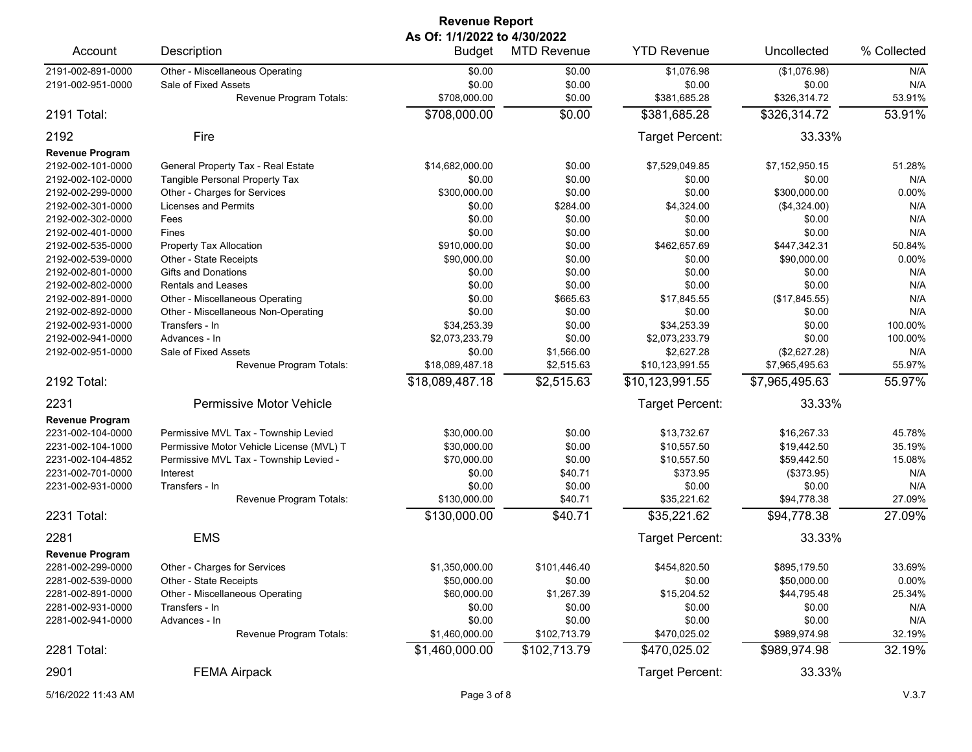| <b>Revenue Report</b><br>As Of: 1/1/2022 to 4/30/2022 |                                          |                 |                    |                    |                |             |  |
|-------------------------------------------------------|------------------------------------------|-----------------|--------------------|--------------------|----------------|-------------|--|
| Account                                               | Description                              | <b>Budget</b>   | <b>MTD Revenue</b> | <b>YTD Revenue</b> | Uncollected    | % Collected |  |
| 2191-002-891-0000                                     | Other - Miscellaneous Operating          | \$0.00          | \$0.00             | \$1,076.98         | (\$1,076.98)   | N/A         |  |
| 2191-002-951-0000                                     | Sale of Fixed Assets                     | \$0.00          | \$0.00             | \$0.00             | \$0.00         | N/A         |  |
|                                                       | Revenue Program Totals:                  | \$708,000.00    | \$0.00             | \$381.685.28       | \$326,314.72   | 53.91%      |  |
| 2191 Total:                                           |                                          | \$708,000.00    | \$0.00             | \$381,685.28       | \$326,314.72   | 53.91%      |  |
| 2192                                                  | Fire                                     |                 |                    | Target Percent:    | 33.33%         |             |  |
| <b>Revenue Program</b>                                |                                          |                 |                    |                    |                |             |  |
| 2192-002-101-0000                                     | General Property Tax - Real Estate       | \$14,682,000.00 | \$0.00             | \$7,529,049.85     | \$7,152,950.15 | 51.28%      |  |
| 2192-002-102-0000                                     | Tangible Personal Property Tax           | \$0.00          | \$0.00             | \$0.00             | \$0.00         | N/A         |  |
| 2192-002-299-0000                                     | Other - Charges for Services             | \$300,000.00    | \$0.00             | \$0.00             | \$300,000.00   | 0.00%       |  |
| 2192-002-301-0000                                     | Licenses and Permits                     | \$0.00          | \$284.00           | \$4,324.00         | (\$4,324.00)   | N/A         |  |
| 2192-002-302-0000                                     | Fees                                     | \$0.00          | \$0.00             | \$0.00             | \$0.00         | N/A         |  |
| 2192-002-401-0000                                     | Fines                                    | \$0.00          | \$0.00             | \$0.00             | \$0.00         | N/A         |  |
| 2192-002-535-0000                                     | Property Tax Allocation                  | \$910,000.00    | \$0.00             | \$462,657.69       | \$447,342.31   | 50.84%      |  |
| 2192-002-539-0000                                     | Other - State Receipts                   | \$90,000.00     | \$0.00             | \$0.00             | \$90,000.00    | 0.00%       |  |
| 2192-002-801-0000                                     | <b>Gifts and Donations</b>               | \$0.00          | \$0.00             | \$0.00             | \$0.00         | N/A         |  |
| 2192-002-802-0000                                     | <b>Rentals and Leases</b>                | \$0.00          | \$0.00             | \$0.00             | \$0.00         | N/A         |  |
| 2192-002-891-0000                                     | Other - Miscellaneous Operating          | \$0.00          | \$665.63           | \$17,845.55        | (\$17,845.55)  | N/A         |  |
| 2192-002-892-0000                                     | Other - Miscellaneous Non-Operating      | \$0.00          | \$0.00             | \$0.00             | \$0.00         | N/A         |  |
| 2192-002-931-0000                                     | Transfers - In                           | \$34,253.39     | \$0.00             | \$34,253.39        | \$0.00         | 100.00%     |  |
| 2192-002-941-0000                                     | Advances - In                            | \$2,073,233.79  | \$0.00             | \$2,073,233.79     | \$0.00         | 100.00%     |  |
| 2192-002-951-0000                                     | Sale of Fixed Assets                     | \$0.00          | \$1,566.00         | \$2,627.28         | (\$2,627.28)   | N/A         |  |
|                                                       | Revenue Program Totals:                  | \$18,089,487.18 | \$2,515.63         | \$10,123,991.55    | \$7,965,495.63 | 55.97%      |  |
| 2192 Total:                                           |                                          | \$18,089,487.18 | \$2,515.63         | \$10,123,991.55    | \$7,965,495.63 | 55.97%      |  |
| 2231                                                  | Permissive Motor Vehicle                 |                 |                    | Target Percent:    | 33.33%         |             |  |
| <b>Revenue Program</b>                                |                                          |                 |                    |                    |                |             |  |
| 2231-002-104-0000                                     | Permissive MVL Tax - Township Levied     | \$30,000.00     | \$0.00             | \$13,732.67        | \$16,267.33    | 45.78%      |  |
| 2231-002-104-1000                                     | Permissive Motor Vehicle License (MVL) T | \$30,000.00     | \$0.00             | \$10,557.50        | \$19,442.50    | 35.19%      |  |
| 2231-002-104-4852                                     | Permissive MVL Tax - Township Levied -   | \$70,000.00     | \$0.00             | \$10,557.50        | \$59,442.50    | 15.08%      |  |
| 2231-002-701-0000                                     | Interest                                 | \$0.00          | \$40.71            | \$373.95           | (\$373.95)     | N/A         |  |
| 2231-002-931-0000                                     | Transfers - In                           | \$0.00          | \$0.00             | \$0.00             | \$0.00         | N/A         |  |
|                                                       | Revenue Program Totals:                  | \$130,000.00    | \$40.71            | \$35,221.62        | \$94,778.38    | 27.09%      |  |
| 2231 Total:                                           |                                          | \$130,000.00    | \$40.71            | \$35,221.62        | \$94,778.38    | 27.09%      |  |
| 2281                                                  | <b>EMS</b>                               |                 |                    | Target Percent:    | 33.33%         |             |  |
| <b>Revenue Program</b>                                |                                          |                 |                    |                    |                |             |  |
| 2281-002-299-0000                                     | Other - Charges for Services             | \$1,350,000.00  | \$101,446.40       | \$454,820.50       | \$895,179.50   | 33.69%      |  |
| 2281-002-539-0000                                     | Other - State Receipts                   | \$50,000.00     | \$0.00             | \$0.00             | \$50,000.00    | 0.00%       |  |
| 2281-002-891-0000                                     | Other - Miscellaneous Operating          | \$60,000.00     | \$1,267.39         | \$15,204.52        | \$44,795.48    | 25.34%      |  |
| 2281-002-931-0000                                     | Transfers - In                           | \$0.00          | \$0.00             | \$0.00             | \$0.00         | N/A         |  |
| 2281-002-941-0000                                     | Advances - In                            | \$0.00          | \$0.00             | \$0.00             | \$0.00         | N/A         |  |
|                                                       | Revenue Program Totals:                  | \$1,460,000.00  | \$102,713.79       | \$470,025.02       | \$989,974.98   | 32.19%      |  |
| 2281 Total:                                           |                                          | \$1,460,000.00  | \$102,713.79       | \$470,025.02       | \$989,974.98   | 32.19%      |  |
| 2901                                                  | <b>FEMA Airpack</b>                      |                 |                    | Target Percent:    | 33.33%         |             |  |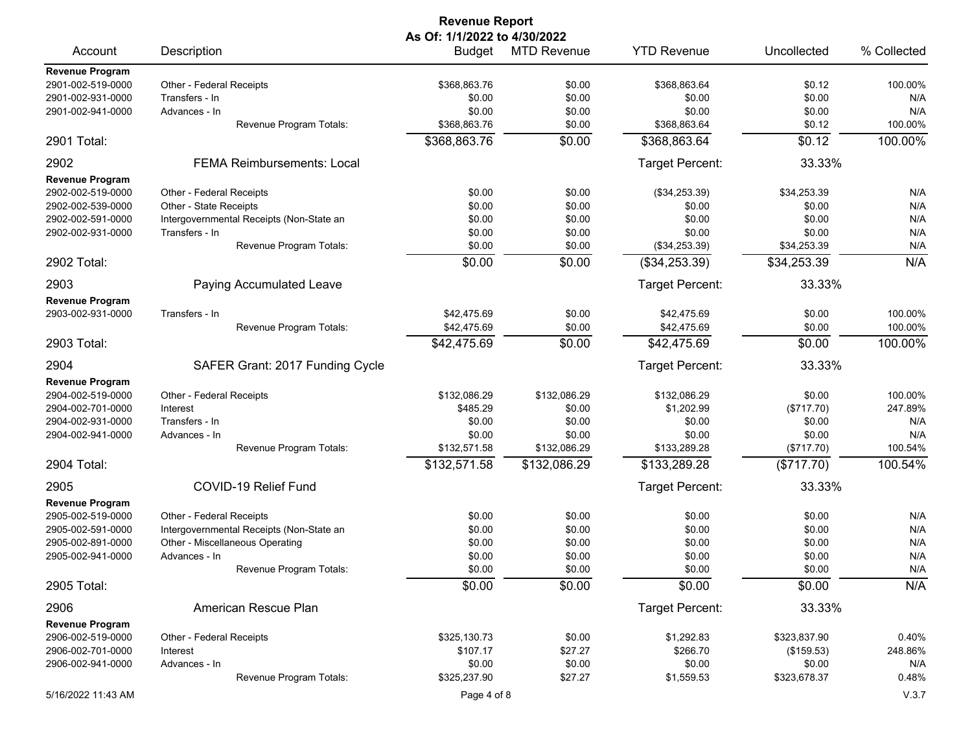|                        |                                          | <b>Revenue Report</b>                         |                    |                        |              |             |
|------------------------|------------------------------------------|-----------------------------------------------|--------------------|------------------------|--------------|-------------|
| Account                | Description                              | As Of: 1/1/2022 to 4/30/2022<br><b>Budget</b> | <b>MTD Revenue</b> | <b>YTD Revenue</b>     | Uncollected  | % Collected |
| <b>Revenue Program</b> |                                          |                                               |                    |                        |              |             |
| 2901-002-519-0000      | Other - Federal Receipts                 | \$368,863.76                                  | \$0.00             | \$368,863.64           | \$0.12       | 100.00%     |
| 2901-002-931-0000      | Transfers - In                           | \$0.00                                        | \$0.00             | \$0.00                 | \$0.00       | N/A         |
| 2901-002-941-0000      | Advances - In                            | \$0.00                                        | \$0.00             | \$0.00                 | \$0.00       | N/A         |
|                        | Revenue Program Totals:                  | \$368,863.76                                  | \$0.00             | \$368,863.64           | \$0.12       | 100.00%     |
| 2901 Total:            |                                          | \$368,863.76                                  | \$0.00             | \$368,863.64           | \$0.12       | 100.00%     |
| 2902                   | <b>FEMA Reimbursements: Local</b>        |                                               |                    | Target Percent:        | 33.33%       |             |
| Revenue Program        |                                          |                                               |                    |                        |              |             |
| 2902-002-519-0000      | Other - Federal Receipts                 | \$0.00                                        | \$0.00             | (\$34,253.39)          | \$34,253.39  | N/A         |
| 2902-002-539-0000      | Other - State Receipts                   | \$0.00                                        | \$0.00             | \$0.00                 | \$0.00       | N/A         |
| 2902-002-591-0000      | Intergovernmental Receipts (Non-State an | \$0.00                                        | \$0.00             | \$0.00                 | \$0.00       | N/A         |
| 2902-002-931-0000      | Transfers - In                           | \$0.00                                        | \$0.00             | \$0.00                 | \$0.00       | N/A         |
|                        | Revenue Program Totals:                  | \$0.00                                        | \$0.00             | (\$34,253.39)          | \$34,253.39  | N/A         |
| 2902 Total:            |                                          | \$0.00                                        | \$0.00             | (\$34,253.39)          | \$34,253.39  | N/A         |
| 2903                   | Paying Accumulated Leave                 |                                               |                    | Target Percent:        | 33.33%       |             |
| <b>Revenue Program</b> |                                          |                                               |                    |                        |              |             |
| 2903-002-931-0000      | Transfers - In                           | \$42,475.69                                   | \$0.00             | \$42.475.69            | \$0.00       | 100.00%     |
|                        | Revenue Program Totals:                  | \$42,475.69                                   | \$0.00             | \$42,475.69            | \$0.00       | 100.00%     |
| 2903 Total:            |                                          | \$42,475.69                                   | \$0.00             | \$42,475.69            | \$0.00       | 100.00%     |
| 2904                   | SAFER Grant: 2017 Funding Cycle          |                                               |                    | Target Percent:        | 33.33%       |             |
| <b>Revenue Program</b> |                                          |                                               |                    |                        |              |             |
| 2904-002-519-0000      | Other - Federal Receipts                 | \$132,086.29                                  | \$132,086.29       | \$132,086.29           | \$0.00       | 100.00%     |
| 2904-002-701-0000      | Interest                                 | \$485.29                                      | \$0.00             | \$1,202.99             | (\$717.70)   | 247.89%     |
| 2904-002-931-0000      | Transfers - In                           | \$0.00                                        | \$0.00             | \$0.00                 | \$0.00       | N/A         |
| 2904-002-941-0000      | Advances - In                            | \$0.00                                        | \$0.00             | \$0.00                 | \$0.00       | N/A         |
|                        | Revenue Program Totals:                  | \$132,571.58                                  | \$132,086.29       | \$133,289.28           | (\$717.70)   | 100.54%     |
| 2904 Total:            |                                          | \$132,571.58                                  | \$132,086.29       | \$133,289.28           | (\$717.70)   | 100.54%     |
|                        |                                          |                                               |                    |                        |              |             |
| 2905                   | COVID-19 Relief Fund                     |                                               |                    | Target Percent:        | 33.33%       |             |
| <b>Revenue Program</b> |                                          |                                               |                    |                        |              |             |
| 2905-002-519-0000      | Other - Federal Receipts                 | \$0.00                                        | \$0.00             | \$0.00                 | \$0.00       | N/A         |
| 2905-002-591-0000      | Intergovernmental Receipts (Non-State an | \$0.00                                        | \$0.00             | \$0.00                 | \$0.00       | N/A         |
| 2905-002-891-0000      | Other - Miscellaneous Operating          | \$0.00                                        | \$0.00             | \$0.00                 | \$0.00       | N/A         |
| 2905-002-941-0000      | Advances - In                            | \$0.00                                        | \$0.00             | \$0.00                 | \$0.00       | N/A         |
|                        | Revenue Program Totals:                  | \$0.00                                        | \$0.00             | \$0.00                 | \$0.00       | N/A         |
| 2905 Total:            |                                          | \$0.00                                        | $\overline{$}0.00$ | \$0.00                 | \$0.00       | N/A         |
| 2906                   | American Rescue Plan                     |                                               |                    | <b>Target Percent:</b> | 33.33%       |             |
| <b>Revenue Program</b> |                                          |                                               |                    |                        |              |             |
| 2906-002-519-0000      | Other - Federal Receipts                 | \$325,130.73                                  | \$0.00             | \$1,292.83             | \$323,837.90 | 0.40%       |
| 2906-002-701-0000      | Interest                                 | \$107.17                                      | \$27.27            | \$266.70               | (\$159.53)   | 248.86%     |
| 2906-002-941-0000      | Advances - In                            | \$0.00                                        | \$0.00             | \$0.00                 | \$0.00       | N/A         |
|                        | Revenue Program Totals:                  | \$325,237.90                                  | \$27.27            | \$1,559.53             | \$323,678.37 | 0.48%       |
| 5/16/2022 11:43 AM     |                                          | Page 4 of 8                                   |                    |                        |              | V.3.7       |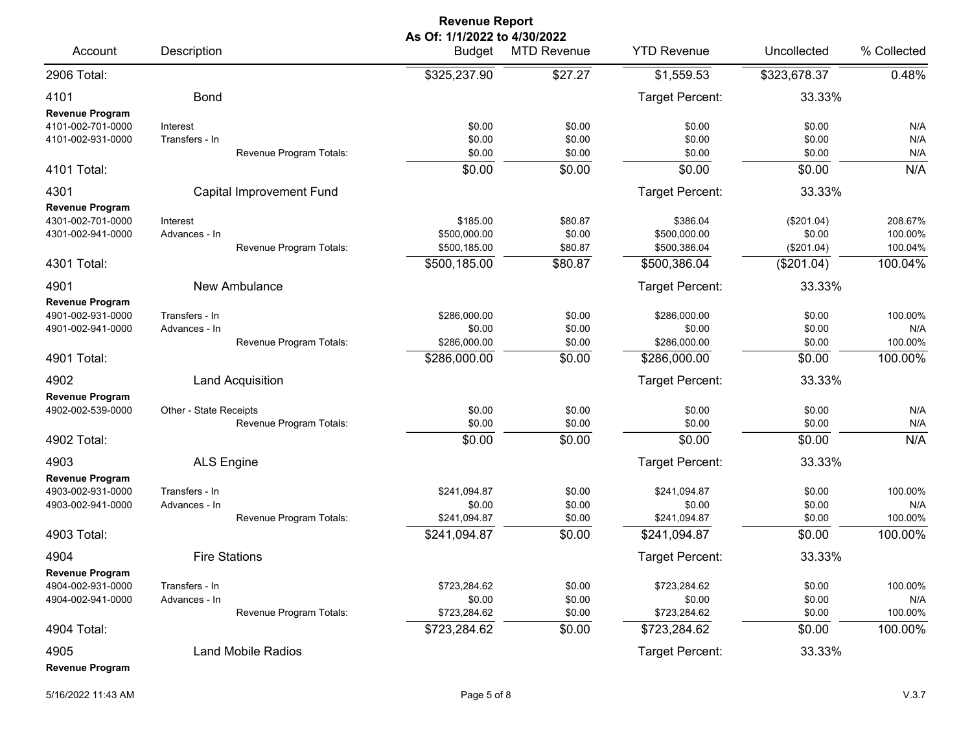|                                                                  |                                 |                                 | <b>Revenue Report</b>                         |                              |                                          |                                    |                               |
|------------------------------------------------------------------|---------------------------------|---------------------------------|-----------------------------------------------|------------------------------|------------------------------------------|------------------------------------|-------------------------------|
| Account                                                          | Description                     |                                 | As Of: 1/1/2022 to 4/30/2022<br><b>Budget</b> | <b>MTD Revenue</b>           | <b>YTD Revenue</b>                       | Uncollected                        | % Collected                   |
| 2906 Total:                                                      |                                 |                                 | \$325,237.90                                  | \$27.27                      | \$1,559.53                               | \$323,678.37                       | 0.48%                         |
| 4101<br><b>Revenue Program</b>                                   | <b>Bond</b>                     |                                 |                                               |                              | Target Percent:                          | 33.33%                             |                               |
| 4101-002-701-0000<br>4101-002-931-0000                           | Interest<br>Transfers - In      | Revenue Program Totals:         | \$0.00<br>\$0.00<br>\$0.00                    | \$0.00<br>\$0.00<br>\$0.00   | \$0.00<br>\$0.00<br>\$0.00               | \$0.00<br>\$0.00<br>\$0.00         | N/A<br>N/A<br>N/A             |
| 4101 Total:                                                      |                                 |                                 | \$0.00                                        | \$0.00                       | \$0.00                                   | \$0.00                             | N/A                           |
| 4301                                                             |                                 | <b>Capital Improvement Fund</b> |                                               |                              | Target Percent:                          | 33.33%                             |                               |
| <b>Revenue Program</b><br>4301-002-701-0000<br>4301-002-941-0000 | Interest<br>Advances - In       | Revenue Program Totals:         | \$185.00<br>\$500,000.00<br>\$500,185.00      | \$80.87<br>\$0.00<br>\$80.87 | \$386.04<br>\$500,000.00<br>\$500,386.04 | (\$201.04)<br>\$0.00<br>(\$201.04) | 208.67%<br>100.00%<br>100.04% |
| 4301 Total:                                                      |                                 |                                 | \$500,185.00                                  | \$80.87                      | \$500,386.04                             | (\$201.04)                         | 100.04%                       |
| 4901<br>Revenue Program<br>4901-002-931-0000                     | Transfers - In                  | New Ambulance                   | \$286,000.00                                  | \$0.00                       | <b>Target Percent:</b><br>\$286,000.00   | 33.33%<br>\$0.00                   | 100.00%                       |
| 4901-002-941-0000                                                | Advances - In                   | Revenue Program Totals:         | \$0.00<br>\$286,000.00                        | \$0.00<br>\$0.00             | \$0.00<br>\$286,000.00                   | \$0.00<br>\$0.00                   | N/A<br>100.00%                |
| 4901 Total:                                                      |                                 |                                 | \$286,000.00                                  | \$0.00                       | \$286,000.00                             | \$0.00                             | 100.00%                       |
| 4902                                                             |                                 | Land Acquisition                |                                               |                              | Target Percent:                          | 33.33%                             |                               |
| <b>Revenue Program</b><br>4902-002-539-0000                      | Other - State Receipts          | Revenue Program Totals:         | \$0.00<br>\$0.00                              | \$0.00<br>\$0.00             | \$0.00<br>\$0.00                         | \$0.00<br>\$0.00                   | N/A<br>N/A                    |
| 4902 Total:                                                      |                                 |                                 | \$0.00                                        | \$0.00                       | \$0.00                                   | \$0.00                             | N/A                           |
| 4903                                                             | <b>ALS Engine</b>               |                                 |                                               |                              | Target Percent:                          | 33.33%                             |                               |
| <b>Revenue Program</b><br>4903-002-931-0000<br>4903-002-941-0000 | Transfers - In<br>Advances - In | Revenue Program Totals:         | \$241,094.87<br>\$0.00<br>\$241,094.87        | \$0.00<br>\$0.00<br>\$0.00   | \$241,094.87<br>\$0.00<br>\$241.094.87   | \$0.00<br>\$0.00<br>\$0.00         | 100.00%<br>N/A<br>100.00%     |
| 4903 Total:                                                      |                                 |                                 | \$241,094.87                                  | \$0.00                       | \$241,094.87                             | \$0.00                             | 100.00%                       |
| 4904                                                             |                                 | <b>Fire Stations</b>            |                                               |                              | Target Percent:                          | 33.33%                             |                               |
| <b>Revenue Program</b><br>4904-002-931-0000<br>4904-002-941-0000 | Transfers - In<br>Advances - In | Revenue Program Totals:         | \$723,284.62<br>\$0.00<br>\$723,284.62        | \$0.00<br>\$0.00<br>\$0.00   | \$723,284.62<br>\$0.00<br>\$723,284.62   | \$0.00<br>\$0.00<br>\$0.00         | 100.00%<br>N/A<br>100.00%     |
| 4904 Total:                                                      |                                 |                                 | \$723,284.62                                  | \$0.00                       | \$723,284.62                             | \$0.00                             | 100.00%                       |
| 4905<br><b>Revenue Program</b>                                   |                                 | <b>Land Mobile Radios</b>       |                                               |                              | Target Percent:                          | 33.33%                             |                               |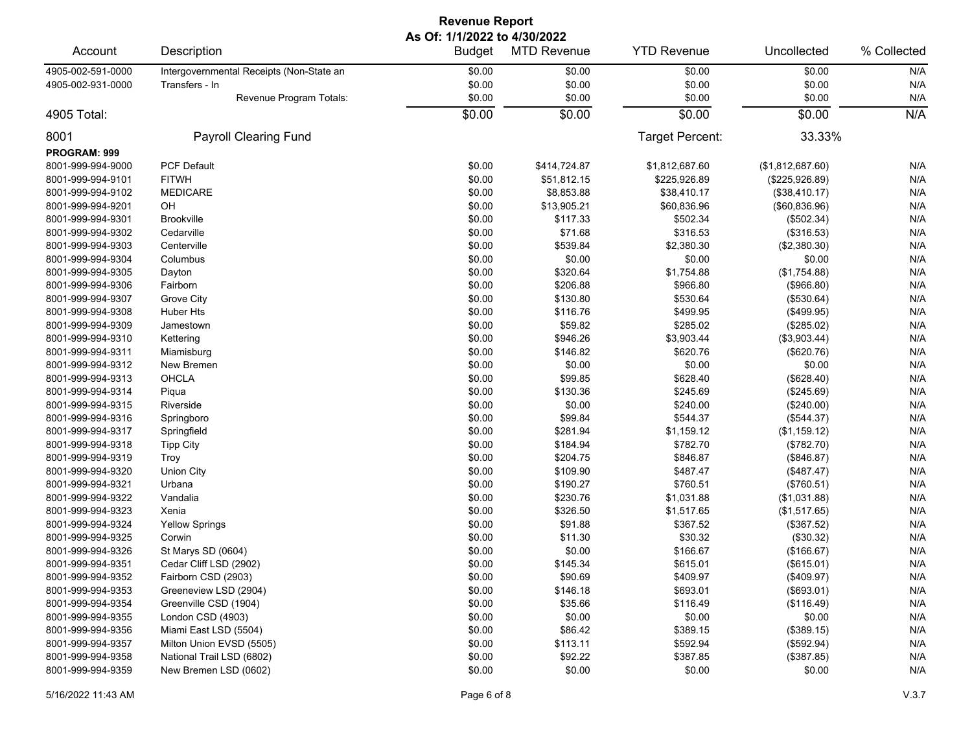|                   | <b>Revenue Report</b>                    |                                               |                    |                    |                  |             |  |  |  |
|-------------------|------------------------------------------|-----------------------------------------------|--------------------|--------------------|------------------|-------------|--|--|--|
| Account           | Description                              | As Of: 1/1/2022 to 4/30/2022<br><b>Budget</b> | <b>MTD Revenue</b> | <b>YTD Revenue</b> | Uncollected      | % Collected |  |  |  |
| 4905-002-591-0000 | Intergovernmental Receipts (Non-State an | \$0.00                                        | \$0.00             | \$0.00             | \$0.00           | N/A         |  |  |  |
| 4905-002-931-0000 | Transfers - In                           | \$0.00                                        | \$0.00             | \$0.00             | \$0.00           | N/A         |  |  |  |
|                   | Revenue Program Totals:                  | \$0.00                                        | \$0.00             | \$0.00             | \$0.00           | N/A         |  |  |  |
| 4905 Total:       |                                          | \$0.00                                        | \$0.00             | \$0.00             | \$0.00           | N/A         |  |  |  |
| 8001              | Payroll Clearing Fund                    |                                               |                    | Target Percent:    | 33.33%           |             |  |  |  |
| PROGRAM: 999      |                                          |                                               |                    |                    |                  |             |  |  |  |
| 8001-999-994-9000 | <b>PCF Default</b>                       | \$0.00                                        | \$414,724.87       | \$1,812,687.60     | (\$1,812,687.60) | N/A         |  |  |  |
| 8001-999-994-9101 | <b>FITWH</b>                             | \$0.00                                        | \$51,812.15        | \$225,926.89       | (\$225,926.89)   | N/A         |  |  |  |
| 8001-999-994-9102 | <b>MEDICARE</b>                          | \$0.00                                        | \$8,853.88         | \$38,410.17        | (\$38,410.17)    | N/A         |  |  |  |
| 8001-999-994-9201 | OH                                       | \$0.00                                        | \$13,905.21        | \$60,836.96        | (\$60, 836.96)   | N/A         |  |  |  |
| 8001-999-994-9301 | <b>Brookville</b>                        | \$0.00                                        | \$117.33           | \$502.34           | (\$502.34)       | N/A         |  |  |  |
| 8001-999-994-9302 | Cedarville                               | \$0.00                                        | \$71.68            | \$316.53           | (\$316.53)       | N/A         |  |  |  |
| 8001-999-994-9303 | Centerville                              | \$0.00                                        | \$539.84           | \$2,380.30         | (\$2,380.30)     | N/A         |  |  |  |
| 8001-999-994-9304 | Columbus                                 | \$0.00                                        | \$0.00             | \$0.00             | \$0.00           | N/A         |  |  |  |
| 8001-999-994-9305 | Dayton                                   | \$0.00                                        | \$320.64           | \$1,754.88         | (\$1,754.88)     | N/A         |  |  |  |
| 8001-999-994-9306 | Fairborn                                 | \$0.00                                        | \$206.88           | \$966.80           | (\$966.80)       | N/A         |  |  |  |
| 8001-999-994-9307 | Grove City                               | \$0.00                                        | \$130.80           | \$530.64           | (\$530.64)       | N/A         |  |  |  |
| 8001-999-994-9308 | <b>Huber Hts</b>                         | \$0.00                                        | \$116.76           | \$499.95           | (\$499.95)       | N/A         |  |  |  |
| 8001-999-994-9309 | Jamestown                                | \$0.00                                        | \$59.82            | \$285.02           | (\$285.02)       | N/A         |  |  |  |
| 8001-999-994-9310 | Kettering                                | \$0.00                                        | \$946.26           | \$3,903.44         | (\$3,903.44)     | N/A         |  |  |  |
| 8001-999-994-9311 | Miamisburg                               | \$0.00                                        | \$146.82           | \$620.76           | (\$620.76)       | N/A         |  |  |  |
| 8001-999-994-9312 | New Bremen                               | \$0.00                                        | \$0.00             | \$0.00             | \$0.00           | N/A         |  |  |  |
| 8001-999-994-9313 | OHCLA                                    | \$0.00                                        | \$99.85            | \$628.40           | (\$628.40)       | N/A         |  |  |  |
| 8001-999-994-9314 | Piqua                                    | \$0.00                                        | \$130.36           | \$245.69           | (\$245.69)       | N/A         |  |  |  |
| 8001-999-994-9315 | Riverside                                | \$0.00                                        | \$0.00             | \$240.00           | (\$240.00)       | N/A         |  |  |  |
| 8001-999-994-9316 | Springboro                               | \$0.00                                        | \$99.84            | \$544.37           | (\$544.37)       | N/A         |  |  |  |
| 8001-999-994-9317 | Springfield                              | \$0.00                                        | \$281.94           | \$1,159.12         | (\$1,159.12)     | N/A         |  |  |  |
| 8001-999-994-9318 | <b>Tipp City</b>                         | \$0.00                                        | \$184.94           | \$782.70           | (\$782.70)       | N/A         |  |  |  |
| 8001-999-994-9319 | Troy                                     | \$0.00                                        | \$204.75           | \$846.87           | (\$846.87)       | N/A         |  |  |  |
| 8001-999-994-9320 | <b>Union City</b>                        | \$0.00                                        | \$109.90           | \$487.47           | (\$487.47)       | N/A         |  |  |  |
| 8001-999-994-9321 | Urbana                                   | \$0.00                                        | \$190.27           | \$760.51           | (\$760.51)       | N/A         |  |  |  |
| 8001-999-994-9322 | Vandalia                                 | \$0.00                                        | \$230.76           | \$1,031.88         | (\$1,031.88)     | N/A         |  |  |  |
| 8001-999-994-9323 | Xenia                                    | \$0.00                                        | \$326.50           | \$1,517.65         | (\$1,517.65)     | N/A         |  |  |  |
| 8001-999-994-9324 | <b>Yellow Springs</b>                    | \$0.00                                        | \$91.88            | \$367.52           | (\$367.52)       | N/A         |  |  |  |
| 8001-999-994-9325 | Corwin                                   | \$0.00                                        | \$11.30            | \$30.32            | (\$30.32)        | N/A         |  |  |  |
| 8001-999-994-9326 | St Marys SD (0604)                       | \$0.00                                        | \$0.00             | \$166.67           | (\$166.67)       | N/A         |  |  |  |
| 8001-999-994-9351 | Cedar Cliff LSD (2902)                   | \$0.00                                        | \$145.34           | \$615.01           | (\$615.01)       | N/A         |  |  |  |
| 8001-999-994-9352 | Fairborn CSD (2903)                      | \$0.00                                        | \$90.69            | \$409.97           | (\$409.97)       | N/A         |  |  |  |
| 8001-999-994-9353 | Greeneview LSD (2904)                    | \$0.00                                        | \$146.18           | \$693.01           | (\$693.01)       | N/A         |  |  |  |
| 8001-999-994-9354 | Greenville CSD (1904)                    | \$0.00                                        | \$35.66            | \$116.49           | (\$116.49)       | N/A         |  |  |  |
| 8001-999-994-9355 | London CSD (4903)                        | \$0.00                                        | \$0.00             | \$0.00             | \$0.00           | N/A         |  |  |  |
| 8001-999-994-9356 | Miami East LSD (5504)                    | \$0.00                                        | \$86.42            | \$389.15           | (\$389.15)       | N/A         |  |  |  |
| 8001-999-994-9357 | Milton Union EVSD (5505)                 | \$0.00                                        | \$113.11           | \$592.94           | (\$592.94)       | N/A         |  |  |  |
| 8001-999-994-9358 | National Trail LSD (6802)                | \$0.00                                        | \$92.22            | \$387.85           | (\$387.85)       | N/A         |  |  |  |
| 8001-999-994-9359 | New Bremen LSD (0602)                    | \$0.00                                        | \$0.00             | \$0.00             | \$0.00           | N/A         |  |  |  |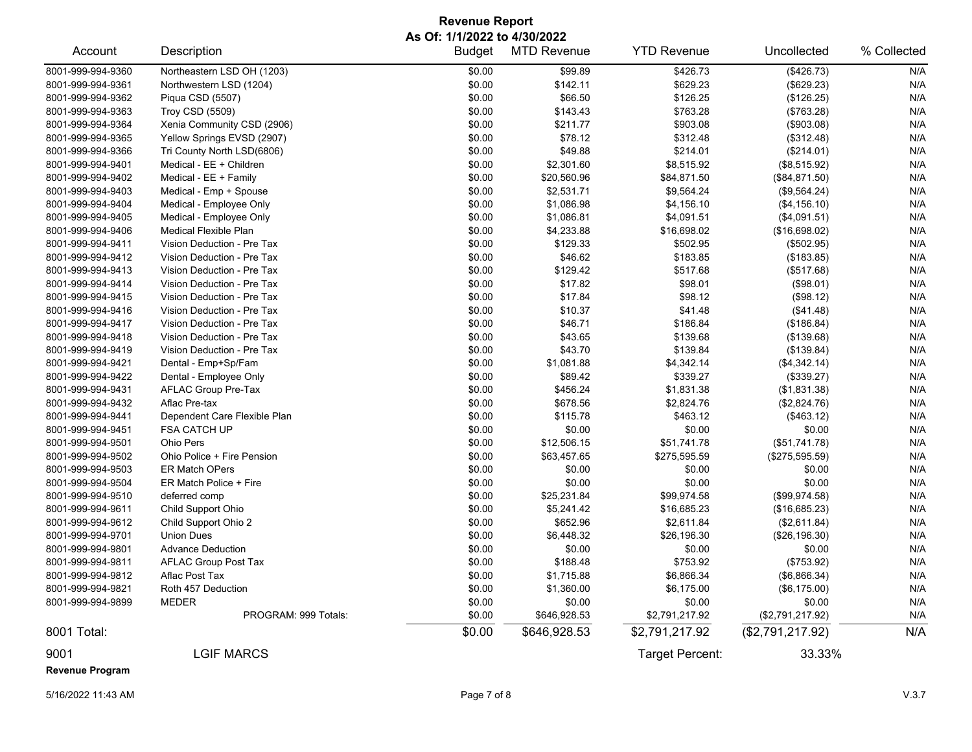## **Revenue Report As Of: 1/1/2022 to 4/30/2022**

| Account                        | Description                  | <b>Budget</b> | <b>MTD Revenue</b> | <b>YTD Revenue</b> | Uncollected      | % Collected |
|--------------------------------|------------------------------|---------------|--------------------|--------------------|------------------|-------------|
| 8001-999-994-9360              | Northeastern LSD OH (1203)   | \$0.00        | \$99.89            | \$426.73           | (\$426.73)       | N/A         |
| 8001-999-994-9361              | Northwestern LSD (1204)      | \$0.00        | \$142.11           | \$629.23           | (\$629.23)       | N/A         |
| 8001-999-994-9362              | Piqua CSD (5507)             | \$0.00        | \$66.50            | \$126.25           | (\$126.25)       | N/A         |
| 8001-999-994-9363              | Troy CSD (5509)              | \$0.00        | \$143.43           | \$763.28           | (\$763.28)       | N/A         |
| 8001-999-994-9364              | Xenia Community CSD (2906)   | \$0.00        | \$211.77           | \$903.08           | (\$903.08)       | N/A         |
| 8001-999-994-9365              | Yellow Springs EVSD (2907)   | \$0.00        | \$78.12            | \$312.48           | (\$312.48)       | N/A         |
| 8001-999-994-9366              | Tri County North LSD(6806)   | \$0.00        | \$49.88            | \$214.01           | (\$214.01)       | N/A         |
| 8001-999-994-9401              | Medical - EE + Children      | \$0.00        | \$2,301.60         | \$8,515.92         | (\$8,515.92)     | N/A         |
| 8001-999-994-9402              | Medical - EE + Family        | \$0.00        | \$20,560.96        | \$84,871.50        | (\$84,871.50)    | N/A         |
| 8001-999-994-9403              | Medical - Emp + Spouse       | \$0.00        | \$2,531.71         | \$9,564.24         | (\$9,564.24)     | N/A         |
| 8001-999-994-9404              | Medical - Employee Only      | \$0.00        | \$1,086.98         | \$4,156.10         | (\$4, 156.10)    | N/A         |
| 8001-999-994-9405              | Medical - Employee Only      | \$0.00        | \$1,086.81         | \$4,091.51         | (\$4,091.51)     | N/A         |
| 8001-999-994-9406              | <b>Medical Flexible Plan</b> | \$0.00        | \$4,233.88         | \$16,698.02        | (\$16,698.02)    | N/A         |
| 8001-999-994-9411              | Vision Deduction - Pre Tax   | \$0.00        | \$129.33           | \$502.95           | (\$502.95)       | N/A         |
| 8001-999-994-9412              | Vision Deduction - Pre Tax   | \$0.00        | \$46.62            | \$183.85           | (\$183.85)       | N/A         |
| 8001-999-994-9413              | Vision Deduction - Pre Tax   | \$0.00        | \$129.42           | \$517.68           | (\$517.68)       | N/A         |
| 8001-999-994-9414              | Vision Deduction - Pre Tax   | \$0.00        | \$17.82            | \$98.01            | (\$98.01)        | N/A         |
| 8001-999-994-9415              | Vision Deduction - Pre Tax   | \$0.00        | \$17.84            | \$98.12            | (\$98.12)        | N/A         |
| 8001-999-994-9416              | Vision Deduction - Pre Tax   | \$0.00        | \$10.37            | \$41.48            | (\$41.48)        | N/A         |
| 8001-999-994-9417              | Vision Deduction - Pre Tax   | \$0.00        | \$46.71            | \$186.84           | (\$186.84)       | N/A         |
| 8001-999-994-9418              | Vision Deduction - Pre Tax   | \$0.00        | \$43.65            | \$139.68           | (\$139.68)       | N/A         |
| 8001-999-994-9419              | Vision Deduction - Pre Tax   | \$0.00        | \$43.70            | \$139.84           | (\$139.84)       | N/A         |
| 8001-999-994-9421              | Dental - Emp+Sp/Fam          | \$0.00        | \$1,081.88         | \$4,342.14         | (\$4,342.14)     | N/A         |
| 8001-999-994-9422              | Dental - Employee Only       | \$0.00        | \$89.42            | \$339.27           | (\$339.27)       | N/A         |
| 8001-999-994-9431              | AFLAC Group Pre-Tax          | \$0.00        | \$456.24           | \$1,831.38         | (\$1,831.38)     | N/A         |
| 8001-999-994-9432              | Aflac Pre-tax                | \$0.00        | \$678.56           | \$2,824.76         | (\$2,824.76)     | N/A         |
| 8001-999-994-9441              | Dependent Care Flexible Plan | \$0.00        | \$115.78           | \$463.12           | (\$463.12)       | N/A         |
| 8001-999-994-9451              | <b>FSA CATCH UP</b>          | \$0.00        | \$0.00             | \$0.00             | \$0.00           | N/A         |
| 8001-999-994-9501              | Ohio Pers                    | \$0.00        | \$12,506.15        | \$51,741.78        | (\$51,741.78)    | N/A         |
| 8001-999-994-9502              | Ohio Police + Fire Pension   | \$0.00        | \$63,457.65        | \$275,595.59       | (\$275,595.59)   | N/A         |
| 8001-999-994-9503              | <b>ER Match OPers</b>        | \$0.00        | \$0.00             | \$0.00             | \$0.00           | N/A         |
| 8001-999-994-9504              | ER Match Police + Fire       | \$0.00        | \$0.00             | \$0.00             | \$0.00           | N/A         |
| 8001-999-994-9510              | deferred comp                | \$0.00        | \$25,231.84        | \$99,974.58        | (\$99,974.58)    | N/A         |
| 8001-999-994-9611              | Child Support Ohio           | \$0.00        | \$5,241.42         | \$16,685.23        | (\$16,685.23)    | N/A         |
| 8001-999-994-9612              | Child Support Ohio 2         | \$0.00        | \$652.96           | \$2,611.84         | (\$2,611.84)     | N/A         |
| 8001-999-994-9701              | <b>Union Dues</b>            | \$0.00        | \$6,448.32         | \$26,196.30        | (\$26,196.30)    | N/A         |
| 8001-999-994-9801              | <b>Advance Deduction</b>     | \$0.00        | \$0.00             | \$0.00             | \$0.00           | N/A         |
| 8001-999-994-9811              | <b>AFLAC Group Post Tax</b>  | \$0.00        | \$188.48           | \$753.92           | (\$753.92)       | N/A         |
| 8001-999-994-9812              | Aflac Post Tax               | \$0.00        | \$1,715.88         | \$6,866.34         | (\$6,866.34)     | N/A         |
| 8001-999-994-9821              | Roth 457 Deduction           | \$0.00        | \$1,360.00         | \$6,175.00         | (\$6,175.00)     | N/A         |
| 8001-999-994-9899              | <b>MEDER</b>                 | \$0.00        | \$0.00             | \$0.00             | \$0.00           | N/A         |
|                                | PROGRAM: 999 Totals:         | \$0.00        | \$646,928.53       | \$2,791,217.92     | (\$2,791,217.92) | N/A         |
| 8001 Total:                    |                              | \$0.00        | \$646,928.53       | \$2,791,217.92     | (\$2,791,217.92) | N/A         |
| 9001<br><b>Revenue Program</b> | <b>LGIF MARCS</b>            |               |                    | Target Percent:    | 33.33%           |             |

5/16/2022 11:43 AM Page 7 of 8 V.3.7